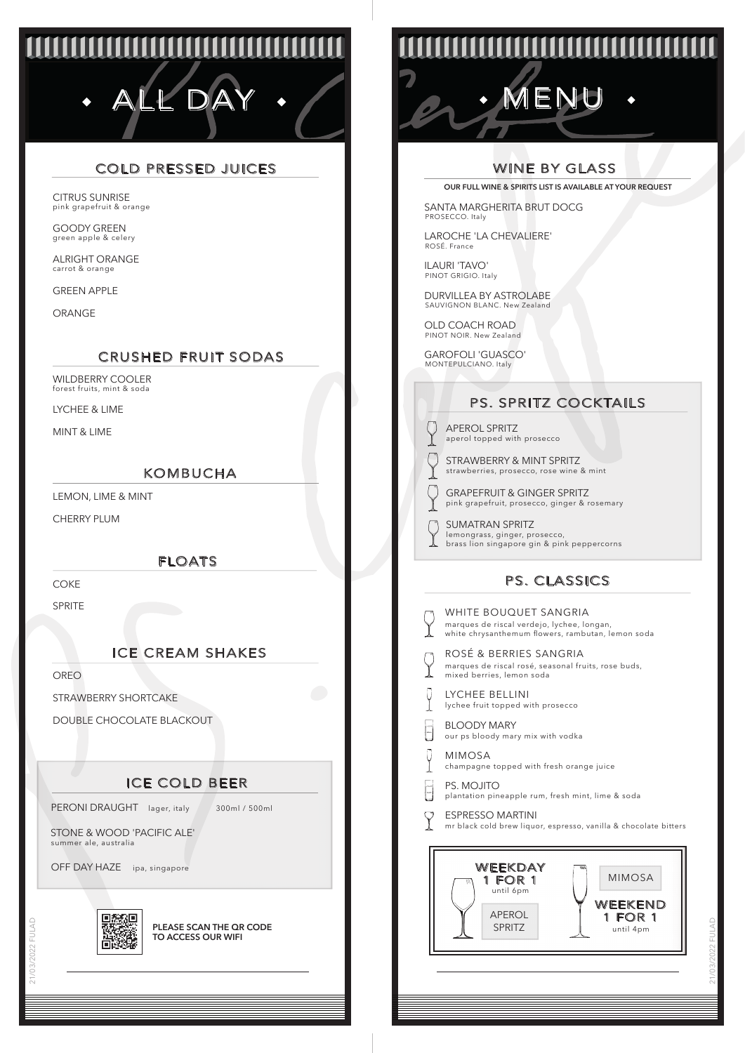# **UUUUUUUUUUU** ALL DAY · / COM · MENU

## COLD PRESSED JUICES

pink grapefruit & orange CITRUS SUNRISE

green apple & celery GOODY GREEN

carrot & orange ALRIGHT ORANGE

GREEN APPLE

ORANGE

#### CRUSHED FRUIT SODAS

forest fruits, mint & soda WILDBERRY COOLER

LYCHEE & LIME

MINT & LIME

#### KOMBUCHA

LEMON, LIME & MINT

CHERRY PLUM

#### FLOATS

COKE

**SPRITE** 

## ICE CREAM SHAKES

OREO

21/03/2022 FULAD

STRAWBERRY SHORTCAKE

DOUBLE CHOCOLATE BLACKOUT

## ICE COLD BEER

PERONI DRAUGHT lager, italy 300ml / 500ml

STONE & WOOD 'PACIFIC ALE' summer ale, australia

OFF DAY HAZE ipa, singapore



**PLEASE SCAN THE QR CODE TO ACCESS OUR WIFI**

## <u>MANAMANA</u>

## WINE BY GLASS

**OUR FULL WINE & SPIRITS LIST IS AVAILABLE AT YOUR REQUEST**

SANTA MARGHERITA BRUT DOCG PROSECCO. Italy

LAROCHE 'LA CHEVALIERE' ROSÉ. France

ILAURI 'TAVO' PINOT GRIGIO. Italy

DURVILLEA BY ASTROLABE SAUVIGNON BLANC. New Zealand

OLD COACH ROAD PINOT NOIR. New Zealand

GAROFOLI 'GUASCO' MONTEPULCIANO. Italy

## PS. SPRITZ COCKTAILS

aperol topped with prosecco APEROL SPRITZ

 $\sqrt{\ }$ 

የ

strawberries, prosecco, rose wine & mint STRAWBERRY & MINT SPRITZ

- pink grapefruit, prosecco, ginger & rosemary GRAPEFRUIT & GINGER SPRITZ
- SUMATRAN SPRITZ O lemongrass, ginger, prosecco, brass lion singapore gin & pink peppercorns

## PS. CLASSICS

| WHITE BOUQUET SANGRIA<br>marques de riscal verdejo, lychee, longan,<br>white chrysanthemum flowers, rambutan, lemon soda |  |  |  |  |
|--------------------------------------------------------------------------------------------------------------------------|--|--|--|--|
| ROSÉ & BERRIES SANGRIA<br>marques de riscal rosé, seasonal fruits, rose buds,<br>mixed berries, lemon soda               |  |  |  |  |
| LYCHEE BELLINI<br>lychee fruit topped with prosecco                                                                      |  |  |  |  |
| <b>BLOODY MARY</b><br>our ps bloody mary mix with vodka                                                                  |  |  |  |  |
| <b>MIMOSA</b><br>champagne topped with fresh orange juice                                                                |  |  |  |  |
| PS. MOJITO<br>plantation pineapple rum, fresh mint, lime & soda                                                          |  |  |  |  |
| <b>ESPRESSO MARTINI</b><br>mr black cold brew liquor, espresso, vanilla & chocolate bitters                              |  |  |  |  |
| WEEKDAY<br>m<br><b>MIMOSA</b><br>1 FOR 1<br>until 6pm<br>WEEKEND<br>APFROL<br>1 FOR 1<br><b>SPRITZ</b><br>until 4pm      |  |  |  |  |
|                                                                                                                          |  |  |  |  |
|                                                                                                                          |  |  |  |  |

|  | Ï<br>ı |
|--|--------|
|  | しくし    |
|  | r<br>C |
|  |        |
|  |        |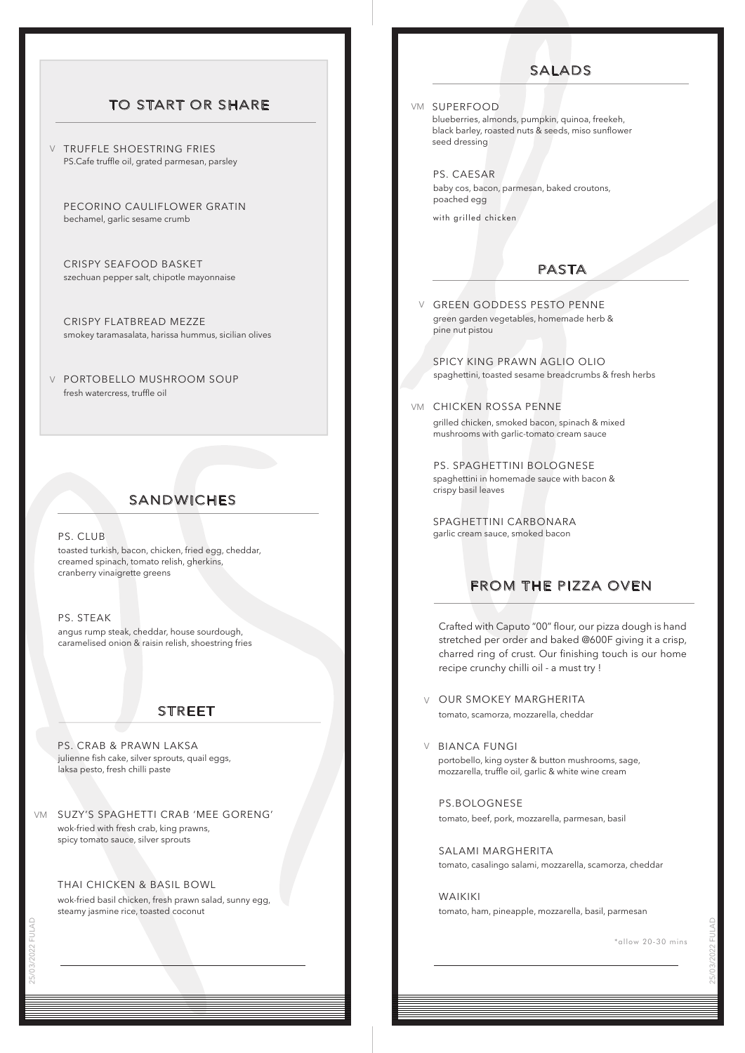#### TO START OR SHARE

**V** TRUFFLE SHOESTRING FRIES PS.Cafe truffle oil, grated parmesan, parsley

PECORINO CAULIFLOWER GRATIN bechamel, garlic sesame crumb

CRISPY SEAFOOD BASKET szechuan pepper salt, chipotle mayonnaise

CRISPY FLATBREAD MEZZE smokey taramasalata, harissa hummus, sicilian olives

PORTOBELLO MUSHROOM SOUP V fresh watercress, truffle oil

## SANDWICHES

#### PS. CLUB

toasted turkish, bacon, chicken, fried egg, cheddar, creamed spinach, tomato relish, gherkins, cranberry vinaigrette greens

PS. STEAK angus rump steak, cheddar, house sourdough, caramelised onion & raisin relish, shoestring fries

#### STREET

julienne fish cake, silver sprouts, quail eggs, laksa pesto, fresh chilli paste PS. CRAB & PRAWN LAKSA

SUZY'S SPAGHETTI CRAB 'MEE GORENG' VM wok-fried with fresh crab, king prawns, spicy tomato sauce, silver sprouts

#### THAI CHICKEN & BASIL BOWL

wok-fried basil chicken, fresh prawn salad, sunny egg, steamy jasmine rice, toasted coconut

#### SALADS

#### VM SUPERFOOD

blueberries, almonds, pumpkin, quinoa, freekeh, black barley, roasted nuts & seeds, miso sunflower seed dressing

PS. CAESAR baby cos, bacon, parmesan, baked croutons, poached egg

with grilled chicken

#### PASTA

GREEN GODDESS PESTO PENNE V green garden vegetables, homemade herb & pine nut pistou

SPICY KING PRAWN AGLIO OLIO spaghettini, toasted sesame breadcrumbs & fresh herbs

VM CHICKEN ROSSA PENNE

grilled chicken, smoked bacon, spinach & mixed mushrooms with garlic-tomato cream sauce

PS. SPAGHETTINI BOLOGNESE spaghettini in homemade sauce with bacon & crispy basil leaves

SPAGHETTINI CARBONARA garlic cream sauce, smoked bacon

#### FROM THE PIZZA OVEN

Crafted with Caputo "00" flour, our pizza dough is hand stretched per order and baked @600F giving it a crisp, charred ring of crust. Our finishing touch is our home recipe crunchy chilli oil - a must try !

- OUR SMOKEY MARGHERITA V tomato, scamorza, mozzarella, cheddar
- V BIANCA FUNGI portobello, king oyster & button mushrooms, sage, mozzarella, truffle oil, garlic & white wine cream

PS.BOLOGNESE tomato, beef, pork, mozzarella, parmesan, basil

SALAMI MARGHERITA tomato, casalingo salami, mozzarella, scamorza, cheddar

WAIKIKI tomato, ham, pineapple, mozzarella, basil, parmesan

\*allow 20-30 mins

25/03/2022 FULAD